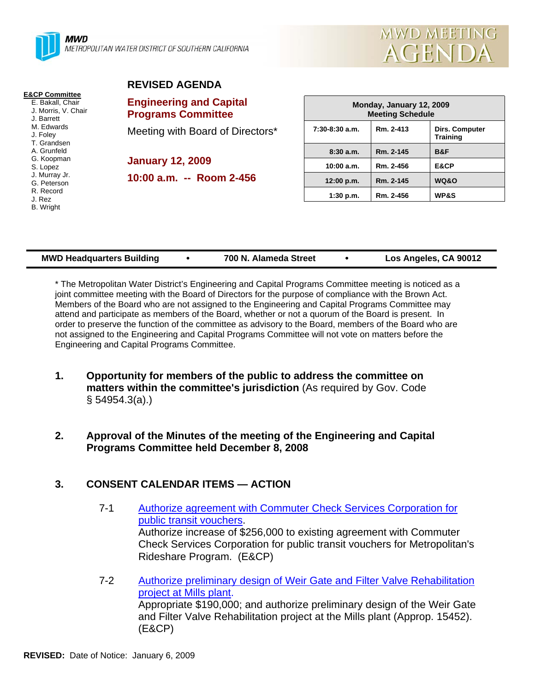



#### **E&CP Committee**

E. Bakall, Chair J. Morris, V. Chair J. Barrett M. Edwards J. Foley T. Grandsen A. Grunfeld G. Koopman S. Lopez J. Murray Jr. G. Peterson R. Record J. Rez B. Wright

# **REVISED AGENDA**

**Engineering and Capital Programs Committee** 

Meeting with Board of Directors\*

**January 12, 2009 10:00 a.m. -- Room 2-456** 

| Monday, January 12, 2009<br><b>Meeting Schedule</b> |           |                                   |  |  |
|-----------------------------------------------------|-----------|-----------------------------------|--|--|
| $7:30-8:30$ a.m.                                    | Rm. 2-413 | Dirs. Computer<br><b>Training</b> |  |  |
| 8:30a.m.                                            | Rm. 2-145 | B&F                               |  |  |
| 10:00 a.m.                                          | Rm. 2-456 | E&CP                              |  |  |
| 12:00 p.m.                                          | Rm. 2-145 | WQ&O                              |  |  |
| $1:30$ p.m.                                         | Rm. 2-456 | <b>WP&amp;S</b>                   |  |  |

| <b>MWD Headquarters Building</b> |  | 700 N. Alameda Street |  | Los Angeles, CA 90012 |
|----------------------------------|--|-----------------------|--|-----------------------|
|----------------------------------|--|-----------------------|--|-----------------------|

\* The Metropolitan Water District's Engineering and Capital Programs Committee meeting is noticed as a joint committee meeting with the Board of Directors for the purpose of compliance with the Brown Act. Members of the Board who are not assigned to the Engineering and Capital Programs Committee may attend and participate as members of the Board, whether or not a quorum of the Board is present. In order to preserve the function of the committee as advisory to the Board, members of the Board who are not assigned to the Engineering and Capital Programs Committee will not vote on matters before the Engineering and Capital Programs Committee.

**1. Opportunity for members of the public to address the committee on matters within the committee's jurisdiction** (As required by Gov. Code § 54954.3(a).)

#### **2. Approval of the Minutes of the meeting of the Engineering and Capital Programs Committee held December 8, 2008**

#### **3. CONSENT CALENDAR ITEMS — ACTION**

- 7-1 Authorize agreement with Commuter Check Services Corporation for public transit vouchers. Authorize increase of \$256,000 to existing agreement with Commuter Check Services Corporation for public transit vouchers for Metropolitan's Rideshare Program. (E&CP)
- 7-2 Authorize preliminary design of Weir Gate and Filter Valve Rehabilitation project at Mills plant. Appropriate \$190,000; and authorize preliminary design of the Weir Gate and Filter Valve Rehabilitation project at the Mills plant (Approp. 15452). (E&CP)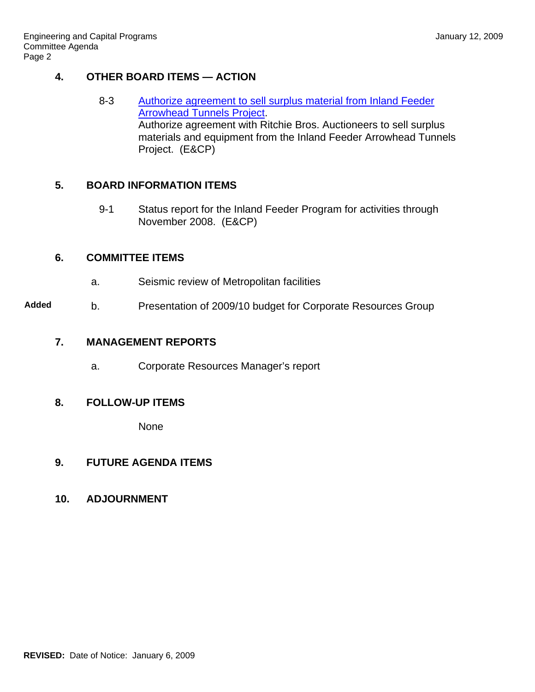#### **4. OTHER BOARD ITEMS — ACTION**

8-3 Authorize agreement to sell surplus material from Inland Feeder Arrowhead Tunnels Project. Authorize agreement with Ritchie Bros. Auctioneers to sell surplus materials and equipment from the Inland Feeder Arrowhead Tunnels Project. (E&CP)

### **5. BOARD INFORMATION ITEMS**

9-1 Status report for the Inland Feeder Program for activities through November 2008. (E&CP)

#### **6. COMMITTEE ITEMS**

- a. Seismic review of Metropolitan facilities
- **Added** b. Presentation of 2009/10 budget for Corporate Resources Group

## **7. MANAGEMENT REPORTS**

a. Corporate Resources Manager's report

#### **8. FOLLOW-UP ITEMS**

None

#### **9. FUTURE AGENDA ITEMS**

#### **10. ADJOURNMENT**